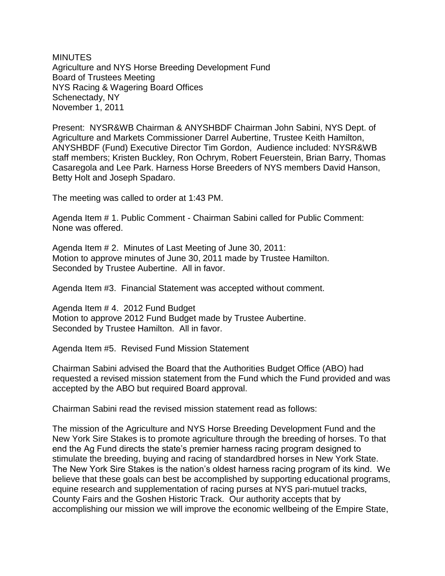**MINUTES** Agriculture and NYS Horse Breeding Development Fund Board of Trustees Meeting NYS Racing & Wagering Board Offices Schenectady, NY November 1, 2011

Present: NYSR&WB Chairman & ANYSHBDF Chairman John Sabini, NYS Dept. of Agriculture and Markets Commissioner Darrel Aubertine, Trustee Keith Hamilton, ANYSHBDF (Fund) Executive Director Tim Gordon, Audience included: NYSR&WB staff members; Kristen Buckley, Ron Ochrym, Robert Feuerstein, Brian Barry, Thomas Casaregola and Lee Park. Harness Horse Breeders of NYS members David Hanson, Betty Holt and Joseph Spadaro.

The meeting was called to order at 1:43 PM.

Agenda Item # 1. Public Comment - Chairman Sabini called for Public Comment: None was offered.

Agenda Item # 2. Minutes of Last Meeting of June 30, 2011: Motion to approve minutes of June 30, 2011 made by Trustee Hamilton. Seconded by Trustee Aubertine. All in favor.

Agenda Item #3. Financial Statement was accepted without comment.

Agenda Item # 4. 2012 Fund Budget Motion to approve 2012 Fund Budget made by Trustee Aubertine. Seconded by Trustee Hamilton. All in favor.

Agenda Item #5. Revised Fund Mission Statement

Chairman Sabini advised the Board that the Authorities Budget Office (ABO) had requested a revised mission statement from the Fund which the Fund provided and was accepted by the ABO but required Board approval.

Chairman Sabini read the revised mission statement read as follows:

The mission of the Agriculture and NYS Horse Breeding Development Fund and the New York Sire Stakes is to promote agriculture through the breeding of horses. To that end the Ag Fund directs the state's premier harness racing program designed to stimulate the breeding, buying and racing of standardbred horses in New York State. The New York Sire Stakes is the nation's oldest harness racing program of its kind. We believe that these goals can best be accomplished by supporting educational programs, equine research and supplementation of racing purses at NYS pari-mutuel tracks, County Fairs and the Goshen Historic Track. Our authority accepts that by accomplishing our mission we will improve the economic wellbeing of the Empire State,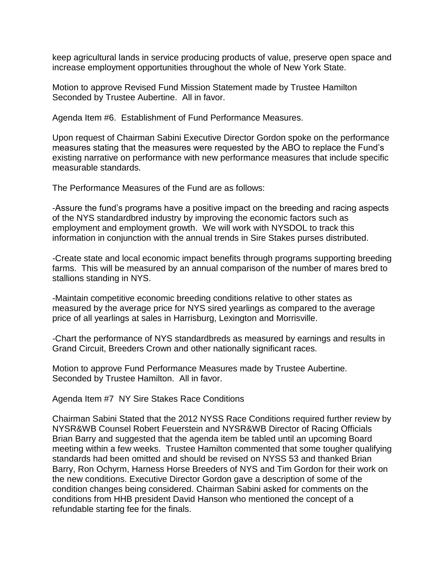keep agricultural lands in service producing products of value, preserve open space and increase employment opportunities throughout the whole of New York State.

Motion to approve Revised Fund Mission Statement made by Trustee Hamilton Seconded by Trustee Aubertine. All in favor.

Agenda Item #6. Establishment of Fund Performance Measures.

Upon request of Chairman Sabini Executive Director Gordon spoke on the performance measures stating that the measures were requested by the ABO to replace the Fund's existing narrative on performance with new performance measures that include specific measurable standards.

The Performance Measures of the Fund are as follows:

-Assure the fund's programs have a positive impact on the breeding and racing aspects of the NYS standardbred industry by improving the economic factors such as employment and employment growth. We will work with NYSDOL to track this information in conjunction with the annual trends in Sire Stakes purses distributed.

-Create state and local economic impact benefits through programs supporting breeding farms. This will be measured by an annual comparison of the number of mares bred to stallions standing in NYS.

-Maintain competitive economic breeding conditions relative to other states as measured by the average price for NYS sired yearlings as compared to the average price of all yearlings at sales in Harrisburg, Lexington and Morrisville.

-Chart the performance of NYS standardbreds as measured by earnings and results in Grand Circuit, Breeders Crown and other nationally significant races.

Motion to approve Fund Performance Measures made by Trustee Aubertine. Seconded by Trustee Hamilton. All in favor.

Agenda Item #7 NY Sire Stakes Race Conditions

Chairman Sabini Stated that the 2012 NYSS Race Conditions required further review by NYSR&WB Counsel Robert Feuerstein and NYSR&WB Director of Racing Officials Brian Barry and suggested that the agenda item be tabled until an upcoming Board meeting within a few weeks. Trustee Hamilton commented that some tougher qualifying standards had been omitted and should be revised on NYSS 53 and thanked Brian Barry, Ron Ochyrm, Harness Horse Breeders of NYS and Tim Gordon for their work on the new conditions. Executive Director Gordon gave a description of some of the condition changes being considered. Chairman Sabini asked for comments on the conditions from HHB president David Hanson who mentioned the concept of a refundable starting fee for the finals.